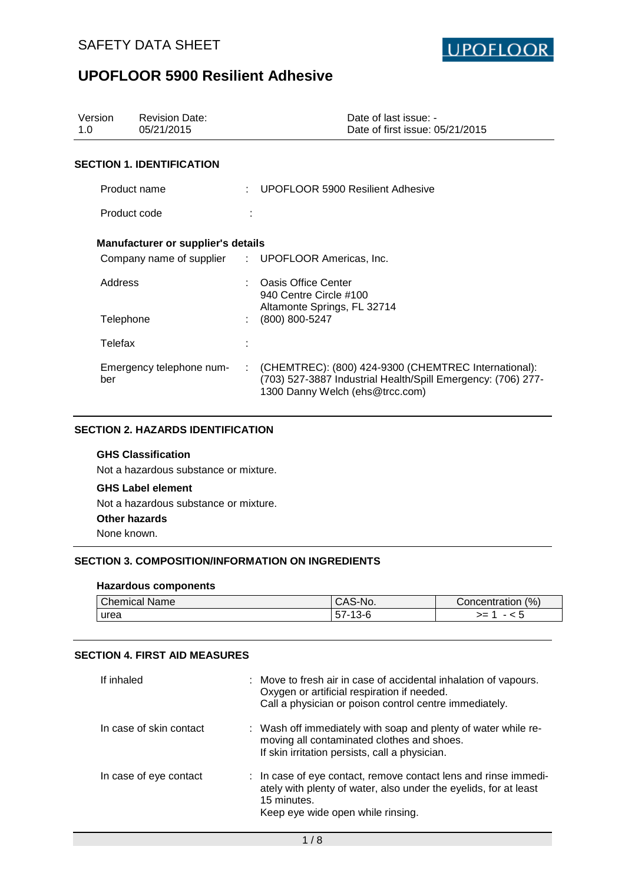

| Version<br>1.0 | <b>Revision Date:</b><br>05/21/2015       |    | Date of last issue: -<br>Date of first issue: 05/21/2015                                                                                                |
|----------------|-------------------------------------------|----|---------------------------------------------------------------------------------------------------------------------------------------------------------|
|                | <b>SECTION 1. IDENTIFICATION</b>          |    |                                                                                                                                                         |
|                | Product name                              |    | UPOFLOOR 5900 Resilient Adhesive                                                                                                                        |
|                |                                           |    |                                                                                                                                                         |
|                | Product code                              |    |                                                                                                                                                         |
|                | <b>Manufacturer or supplier's details</b> |    |                                                                                                                                                         |
|                |                                           |    | Company name of supplier : UPOFLOOR Americas, Inc.                                                                                                      |
| Address        |                                           |    | <b>Oasis Office Center</b><br>940 Centre Circle #100                                                                                                    |
| Telephone      |                                           |    | Altamonte Springs, FL 32714<br>$(800) 800 - 5247$                                                                                                       |
| Telefax        |                                           |    |                                                                                                                                                         |
| ber            | Emergency telephone num-                  | ÷. | (CHEMTREC): (800) 424-9300 (CHEMTREC International):<br>(703) 527-3887 Industrial Health/Spill Emergency: (706) 277-<br>1300 Danny Welch (ehs@trcc.com) |

## **SECTION 2. HAZARDS IDENTIFICATION**

## **GHS Classification**

Not a hazardous substance or mixture.

## **GHS Label element**

Not a hazardous substance or mixture.

#### **Other hazards**

None known.

## **SECTION 3. COMPOSITION/INFORMATION ON INGREDIENTS**

#### **Hazardous components**

| $1^{\circ}$<br>Chemical r<br>Name | '-AS-<br>∵No.         | (% )<br>Concentration |
|-----------------------------------|-----------------------|-----------------------|
| <b>urea</b>                       | ∽<br>っし<br>ັບເ<br>ט ו | --<br>--<br>~ U       |

### **SECTION 4. FIRST AID MEASURES**

| If inhaled              | : Move to fresh air in case of accidental inhalation of vapours.<br>Oxygen or artificial respiration if needed.<br>Call a physician or poison control centre immediately.               |
|-------------------------|-----------------------------------------------------------------------------------------------------------------------------------------------------------------------------------------|
| In case of skin contact | : Wash off immediately with soap and plenty of water while re-<br>moving all contaminated clothes and shoes.<br>If skin irritation persists, call a physician.                          |
| In case of eye contact  | : In case of eye contact, remove contact lens and rinse immedi-<br>ately with plenty of water, also under the eyelids, for at least<br>15 minutes.<br>Keep eye wide open while rinsing. |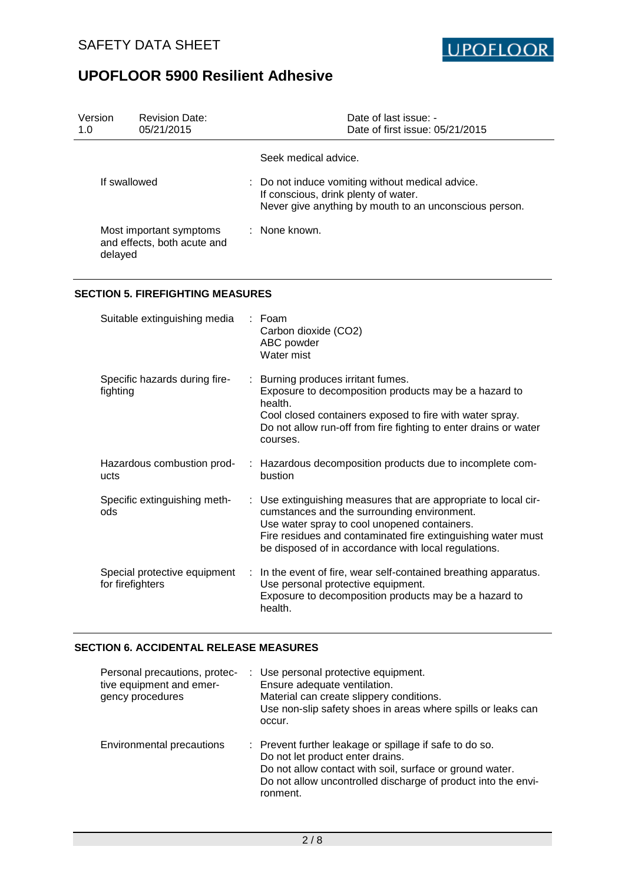

| Version<br>1.0 | <b>Revision Date:</b><br>05/21/2015                                           | Date of last issue: -<br>Date of first issue: 05/21/2015                                                                                                                                                                                                                               |
|----------------|-------------------------------------------------------------------------------|----------------------------------------------------------------------------------------------------------------------------------------------------------------------------------------------------------------------------------------------------------------------------------------|
|                |                                                                               | Seek medical advice.                                                                                                                                                                                                                                                                   |
|                | If swallowed                                                                  | Do not induce vomiting without medical advice.<br>If conscious, drink plenty of water.<br>Never give anything by mouth to an unconscious person.                                                                                                                                       |
|                | Most important symptoms<br>and effects, both acute and<br>delayed             | None known.                                                                                                                                                                                                                                                                            |
|                | <b>SECTION 5. FIREFIGHTING MEASURES</b>                                       |                                                                                                                                                                                                                                                                                        |
|                | Suitable extinguishing media                                                  | Foam<br>Carbon dioxide (CO2)<br>ABC powder<br>Water mist                                                                                                                                                                                                                               |
|                | Specific hazards during fire-<br>fighting                                     | Burning produces irritant fumes.<br>Exposure to decomposition products may be a hazard to<br>health.<br>Cool closed containers exposed to fire with water spray.<br>Do not allow run-off from fire fighting to enter drains or water<br>courses.                                       |
|                | Hazardous combustion prod-<br>ucts                                            | Hazardous decomposition products due to incomplete com-<br>bustion                                                                                                                                                                                                                     |
|                | Specific extinguishing meth-<br>ods                                           | : Use extinguishing measures that are appropriate to local cir-<br>cumstances and the surrounding environment.<br>Use water spray to cool unopened containers.<br>Fire residues and contaminated fire extinguishing water must<br>be disposed of in accordance with local regulations. |
|                | Special protective equipment<br>for firefighters                              | In the event of fire, wear self-contained breathing apparatus.<br>Use personal protective equipment.<br>Exposure to decomposition products may be a hazard to<br>health.                                                                                                               |
|                | <b>SECTION 6. ACCIDENTAL RELEASE MEASURES</b>                                 |                                                                                                                                                                                                                                                                                        |
|                | Personal precautions, protec-<br>tive equipment and emer-<br>gency procedures | Use personal protective equipment.<br>Ensure adequate ventilation.<br>Material can create slippery conditions.<br>Use non-slip safety shoes in areas where spills or leaks can<br>occur.                                                                                               |
|                | Environmental precautions                                                     | Prevent further leakage or spillage if safe to do so.<br>Do not let product enter drains.<br>Do not allow contact with soil, surface or ground water.                                                                                                                                  |

Do not allow uncontrolled discharge of product into the environment.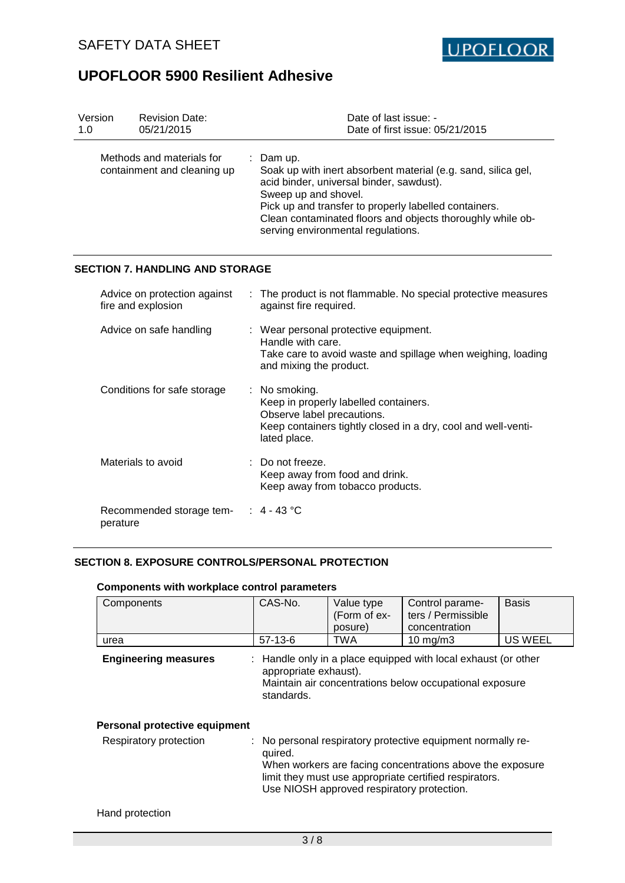

| Version<br>1.0 | <b>Revision Date:</b><br>05/21/2015                      | Date of last issue: -<br>Date of first issue: 05/21/2015                                                                                                                                                                                                                                                  |
|----------------|----------------------------------------------------------|-----------------------------------------------------------------------------------------------------------------------------------------------------------------------------------------------------------------------------------------------------------------------------------------------------------|
|                | Methods and materials for<br>containment and cleaning up | Dam up.<br>Soak up with inert absorbent material (e.g. sand, silica gel,<br>acid binder, universal binder, sawdust).<br>Sweep up and shovel.<br>Pick up and transfer to properly labelled containers.<br>Clean contaminated floors and objects thoroughly while ob-<br>serving environmental regulations. |
|                | <b>SECTION 7. HANDLING AND STORAGE</b>                   |                                                                                                                                                                                                                                                                                                           |
|                | Advice on protection against<br>fire and explosion       | The product is not flammable. No special protective measures<br>against fire required.                                                                                                                                                                                                                    |
|                | Advice on safe handling                                  | : Wear personal protective equipment.<br>Handle with care.<br>Take care to avoid waste and spillage when weighing, loading<br>and mixing the product.                                                                                                                                                     |
|                | Conditions for safe storage                              | No smoking.<br>Keep in properly labelled containers.<br>Observe label precautions.<br>Keep containers tightly closed in a dry, cool and well-venti-<br>lated place.                                                                                                                                       |
|                | Materials to avoid                                       | Do not freeze.<br>Keep away from food and drink.<br>Keep away from tobacco products.                                                                                                                                                                                                                      |
|                | Recommended storage tem-<br>perature                     | $\therefore$ 4 - 43 °C                                                                                                                                                                                                                                                                                    |

## **SECTION 8. EXPOSURE CONTROLS/PERSONAL PROTECTION**

| Components                    | CAS-No.                             | Value type<br>(Form of ex-<br>posure)      | Control parame-<br>ters / Permissible<br>concentration                                                                                                                             | <b>Basis</b>   |
|-------------------------------|-------------------------------------|--------------------------------------------|------------------------------------------------------------------------------------------------------------------------------------------------------------------------------------|----------------|
| urea                          | $57-13-6$                           | TWA                                        | $10 \text{ mg/m}$                                                                                                                                                                  | <b>US WEEL</b> |
| <b>Engineering measures</b>   | appropriate exhaust).<br>standards. |                                            | : Handle only in a place equipped with local exhaust (or other<br>Maintain air concentrations below occupational exposure                                                          |                |
| Personal protective equipment |                                     |                                            |                                                                                                                                                                                    |                |
| Respiratory protection        | quired.                             | Use NIOSH approved respiratory protection. | : No personal respiratory protective equipment normally re-<br>When workers are facing concentrations above the exposure<br>limit they must use appropriate certified respirators. |                |
| Hand protection               |                                     |                                            |                                                                                                                                                                                    |                |

## **Components with workplace control parameters**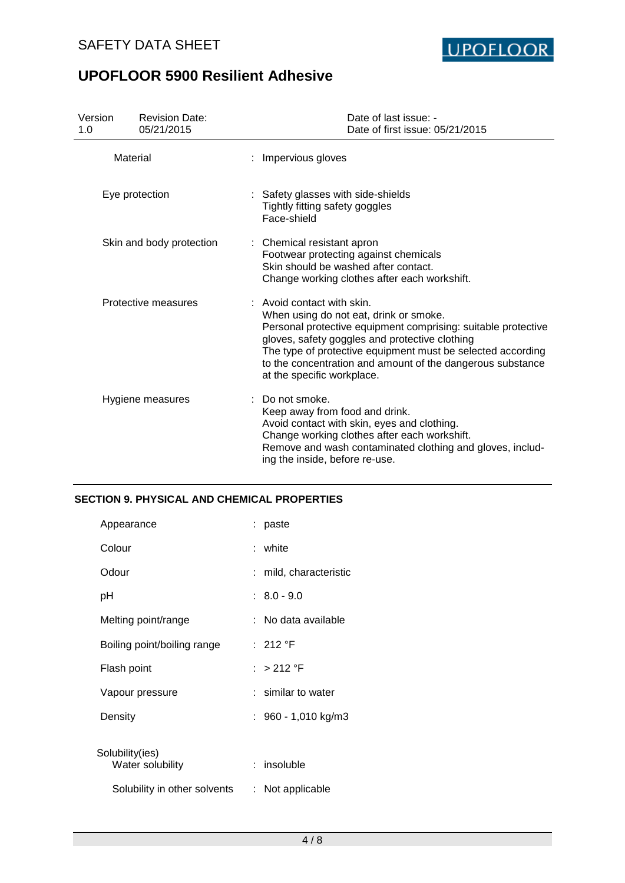

| Version<br>1.0           | <b>Revision Date:</b><br>05/21/2015 | Date of last issue: -<br>Date of first issue: 05/21/2015                                                                                                                                                                                                                                                                                           |
|--------------------------|-------------------------------------|----------------------------------------------------------------------------------------------------------------------------------------------------------------------------------------------------------------------------------------------------------------------------------------------------------------------------------------------------|
| Material                 |                                     | : Impervious gloves                                                                                                                                                                                                                                                                                                                                |
| Eye protection           |                                     | : Safety glasses with side-shields<br>Tightly fitting safety goggles<br>Face-shield                                                                                                                                                                                                                                                                |
| Skin and body protection |                                     | : Chemical resistant apron<br>Footwear protecting against chemicals<br>Skin should be washed after contact.<br>Change working clothes after each workshift.                                                                                                                                                                                        |
| Protective measures      |                                     | : Avoid contact with skin.<br>When using do not eat, drink or smoke.<br>Personal protective equipment comprising: suitable protective<br>gloves, safety goggles and protective clothing<br>The type of protective equipment must be selected according<br>to the concentration and amount of the dangerous substance<br>at the specific workplace. |
|                          | Hygiene measures                    | Do not smoke.<br>Keep away from food and drink.<br>Avoid contact with skin, eyes and clothing.<br>Change working clothes after each workshift.<br>Remove and wash contaminated clothing and gloves, includ-<br>ing the inside, before re-use.                                                                                                      |

### **SECTION 9. PHYSICAL AND CHEMICAL PROPERTIES**

| Appearance                          | : paste                |
|-------------------------------------|------------------------|
| Colour                              | : white                |
| Odour                               | : mild, characteristic |
| pH                                  | $: 8.0 - 9.0$          |
| Melting point/range                 | : No data available    |
| Boiling point/boiling range         | : 212 °F               |
| Flash point                         | : $>212$ °F            |
| Vapour pressure                     | : similar to water     |
| Density                             | $: 960 - 1,010$ kg/m3  |
|                                     |                        |
| Solubility(ies)<br>Water solubility | : insoluble            |
| Solubility in other solvents        | : Not applicable       |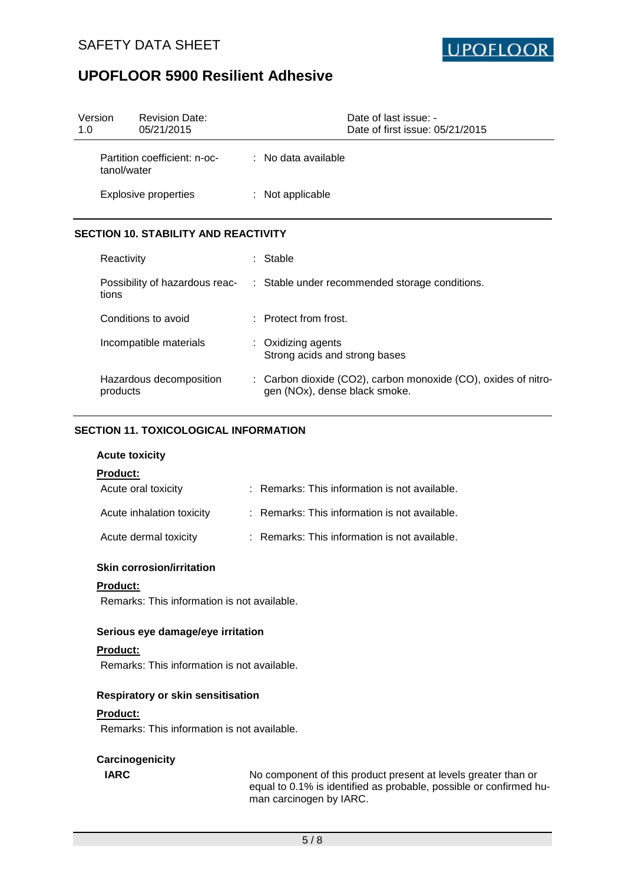

| Version<br>1.0                              | <b>Revision Date:</b><br>05/21/2015 | Date of last issue: -<br>Date of first issue: 05/21/2015 |
|---------------------------------------------|-------------------------------------|----------------------------------------------------------|
| Partition coefficient: n-oc-<br>tanol/water |                                     | $\therefore$ No data available                           |
| <b>Explosive properties</b>                 |                                     | $:$ Not applicable                                       |

## **SECTION 10. STABILITY AND REACTIVITY**

| Reactivity                              | : Stable                                                                                        |
|-----------------------------------------|-------------------------------------------------------------------------------------------------|
| Possibility of hazardous reac-<br>tions | : Stable under recommended storage conditions.                                                  |
| Conditions to avoid                     | $:$ Protect from frost.                                                                         |
| Incompatible materials                  | $:$ Oxidizing agents<br>Strong acids and strong bases                                           |
| Hazardous decomposition<br>products     | : Carbon dioxide (CO2), carbon monoxide (CO), oxides of nitro-<br>gen (NOx), dense black smoke. |

## **SECTION 11. TOXICOLOGICAL INFORMATION**

#### **Acute toxicity**

### **Product:**

| Acute oral toxicity       | : Remarks: This information is not available. |
|---------------------------|-----------------------------------------------|
| Acute inhalation toxicity | : Remarks: This information is not available. |
| Acute dermal toxicity     | : Remarks: This information is not available. |

### **Skin corrosion/irritation**

#### **Product:**

Remarks: This information is not available.

### **Serious eye damage/eye irritation**

### **Product:**

Remarks: This information is not available.

#### **Respiratory or skin sensitisation**

#### **Product:**

Remarks: This information is not available.

## **Carcinogenicity**

**IARC** No component of this product present at levels greater than or equal to 0.1% is identified as probable, possible or confirmed human carcinogen by IARC.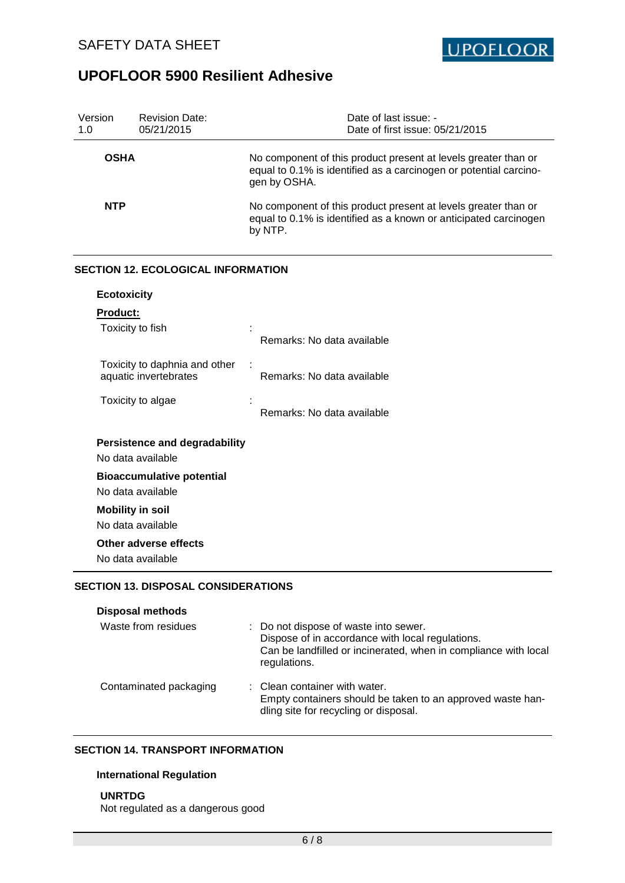

| Version<br>1.0     | <b>Revision Date:</b><br>05/21/2015                       | Date of last issue: -<br>Date of first issue: 05/21/2015                                                                                            |
|--------------------|-----------------------------------------------------------|-----------------------------------------------------------------------------------------------------------------------------------------------------|
| <b>OSHA</b>        |                                                           | No component of this product present at levels greater than or<br>equal to 0.1% is identified as a carcinogen or potential carcino-<br>gen by OSHA. |
| <b>NTP</b>         |                                                           | No component of this product present at levels greater than or<br>equal to 0.1% is identified as a known or anticipated carcinogen<br>by NTP.       |
|                    | <b>SECTION 12. ECOLOGICAL INFORMATION</b>                 |                                                                                                                                                     |
| <b>Ecotoxicity</b> |                                                           |                                                                                                                                                     |
| <b>Product:</b>    |                                                           |                                                                                                                                                     |
|                    | Toxicity to fish                                          | Remarks: No data available                                                                                                                          |
|                    | Toxicity to daphnia and other<br>aquatic invertebrates    | Remarks: No data available                                                                                                                          |
|                    | Toxicity to algae                                         | Remarks: No data available                                                                                                                          |
|                    | <b>Persistence and degradability</b><br>No data available |                                                                                                                                                     |
|                    | <b>Bioaccumulative potential</b><br>No data available     |                                                                                                                                                     |
|                    | <b>Mobility in soil</b>                                   |                                                                                                                                                     |
|                    | No data available                                         |                                                                                                                                                     |
|                    | Other adverse effects<br>No data available                |                                                                                                                                                     |
|                    | <b>SECTION 13. DISPOSAL CONSIDERATIONS</b>                |                                                                                                                                                     |
|                    | <b>Disposal methods</b>                                   |                                                                                                                                                     |

| Waste from residues    | : Do not dispose of waste into sewer.<br>Dispose of in accordance with local regulations.<br>Can be landfilled or incinerated, when in compliance with local<br>regulations. |
|------------------------|------------------------------------------------------------------------------------------------------------------------------------------------------------------------------|
| Contaminated packaging | : Clean container with water.<br>Empty containers should be taken to an approved waste han-<br>dling site for recycling or disposal.                                         |

## **SECTION 14. TRANSPORT INFORMATION**

## **International Regulation**

## **UNRTDG**

Not regulated as a dangerous good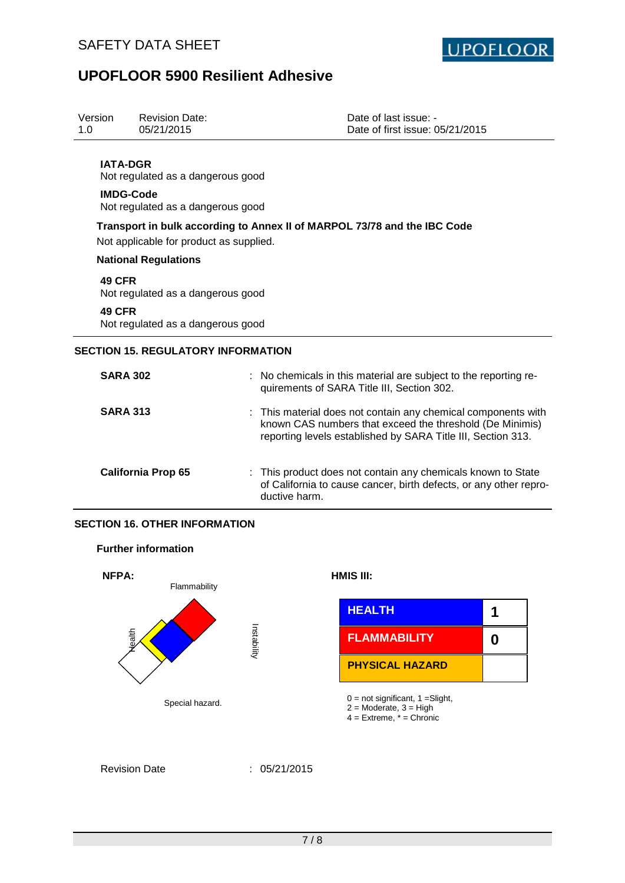

| Version<br>1.0                                                                                                      | <b>Revision Date:</b><br>05/21/2015       |                                                                                                                                                                                         | Date of last issue: -<br>Date of first issue: 05/21/2015                                                     |                        |   |  |  |
|---------------------------------------------------------------------------------------------------------------------|-------------------------------------------|-----------------------------------------------------------------------------------------------------------------------------------------------------------------------------------------|--------------------------------------------------------------------------------------------------------------|------------------------|---|--|--|
| <b>IATA-DGR</b><br>Not regulated as a dangerous good<br><b>IMDG-Code</b><br>Not regulated as a dangerous good       |                                           |                                                                                                                                                                                         |                                                                                                              |                        |   |  |  |
| Transport in bulk according to Annex II of MARPOL 73/78 and the IBC Code<br>Not applicable for product as supplied. |                                           |                                                                                                                                                                                         |                                                                                                              |                        |   |  |  |
|                                                                                                                     | <b>National Regulations</b>               |                                                                                                                                                                                         |                                                                                                              |                        |   |  |  |
| <b>49 CFR</b><br>Not regulated as a dangerous good                                                                  |                                           |                                                                                                                                                                                         |                                                                                                              |                        |   |  |  |
| 49 CFR<br>Not regulated as a dangerous good                                                                         |                                           |                                                                                                                                                                                         |                                                                                                              |                        |   |  |  |
|                                                                                                                     | <b>SECTION 15. REGULATORY INFORMATION</b> |                                                                                                                                                                                         |                                                                                                              |                        |   |  |  |
| <b>SARA 302</b>                                                                                                     |                                           |                                                                                                                                                                                         | No chemicals in this material are subject to the reporting re-<br>quirements of SARA Title III, Section 302. |                        |   |  |  |
| <b>SARA 313</b>                                                                                                     |                                           | This material does not contain any chemical components with<br>known CAS numbers that exceed the threshold (De Minimis)<br>reporting levels established by SARA Title III, Section 313. |                                                                                                              |                        |   |  |  |
|                                                                                                                     | <b>California Prop 65</b>                 | This product does not contain any chemicals known to State<br>of California to cause cancer, birth defects, or any other repro-<br>ductive harm.                                        |                                                                                                              |                        |   |  |  |
| <b>SECTION 16. OTHER INFORMATION</b>                                                                                |                                           |                                                                                                                                                                                         |                                                                                                              |                        |   |  |  |
| <b>Further information</b>                                                                                          |                                           |                                                                                                                                                                                         |                                                                                                              |                        |   |  |  |
| NFPA:                                                                                                               | Flammability                              |                                                                                                                                                                                         |                                                                                                              | HMIS III:              |   |  |  |
| Nealth                                                                                                              |                                           | Instability                                                                                                                                                                             |                                                                                                              | <b>HEALTH</b>          | 1 |  |  |
|                                                                                                                     |                                           |                                                                                                                                                                                         |                                                                                                              | <b>FLAMMABILITY</b>    | 0 |  |  |
|                                                                                                                     |                                           |                                                                                                                                                                                         |                                                                                                              | <b>PHYSICAL HAZARD</b> |   |  |  |
| Special hazard.                                                                                                     |                                           |                                                                                                                                                                                         | $0 = not significant, 1 = Slight,$<br>$2 =$ Moderate, $3 =$ High                                             |                        |   |  |  |

- - 4 = Extreme, \* = Chronic

Revision Date : 05/21/2015